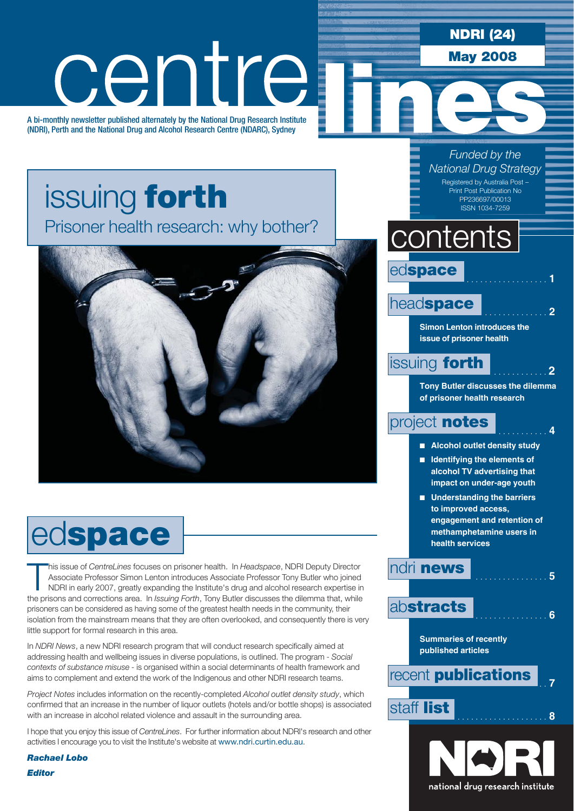**NDRI (24)**

**May 2008**

# centre

A bi-monthly newsletter published alternately by the National Drug Research Institute (NDRI), Perth and the National Drug and Alcohol Research Centre (NDARC), Sydney

### issuing **forth** Prisoner health research: why bother?





This issue of *CentreLines* focuses on prisoner health. In *Headspace*, NDRI Deputy Director Associate Professor Simon Lenton introduces Associate Professor Tony Butler who joined NDRI in early 2007, greatly expanding the his issue of *CentreLines* focuses on prisoner health. In *Headspace*, NDRI Deputy Director Associate Professor Simon Lenton introduces Associate Professor Tony Butler who joined NDRI in early 2007, greatly expanding the Institute's drug and alcohol research expertise in prisoners can be considered as having some of the greatest health needs in the community, their isolation from the mainstream means that they are often overlooked, and consequently there is very little support for formal research in this area.

In *NDRI News*, a new NDRI research program that will conduct research specifically aimed at addressing health and wellbeing issues in diverse populations, is outlined. The program - *Social contexts of substance misuse -* is organised within a social determinants of health framework and aims to complement and extend the work of the Indigenous and other NDRI research teams.

*Project Notes* includes information on the recently-completed *Alcohol outlet density study*, which confirmed that an increase in the number of liquor outlets (hotels and/or bottle shops) is associated with an increase in alcohol related violence and assault in the surrounding area.

I hope that you enjoy this issue of *CentreLines*. For further information about NDRI's research and other activities I encourage you to visit the Institute's website at www.ndri.curtin.edu.au.

*Rachael Lobo Editor*

*Funded by the National Drug Strategy* Registered by Australia Post – Print Post Publication No PP236697/00013 ISSN 1034-7259

# contents

edspace

### head**space** . . . . . . . . . . . . . . **<sup>2</sup>**

**Simon Lenton introduces the issue of prisoner health**

### issuing **forth**

**Tony Butler discusses the dilemma of prisoner health research**

### project **notes**

- **E** Alcohol outlet density study
- Identifying the elements of **alcohol TV advertising that impact on under-age youth**
- Understanding the barriers **to improved access, engagement and retention of methamphetamine users in health services**

### **ndri news**



**Summaries of recently published articles**

 $\sqrt{\frac{1}{100}}$  **recent publications** 



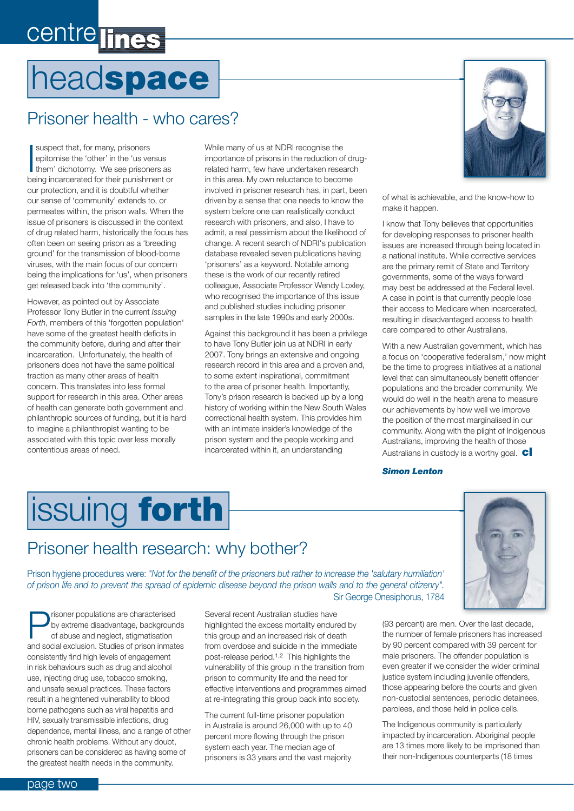# centre lines

# head**space**

### Prisoner health - who cares?

suspect that, for many, prisoners<br>epitomise the 'other' in the 'us versus<br>them' dichotomy. We see prisoners as suspect that, for many, prisoners epitomise the 'other' in the 'us versus being incarcerated for their punishment or our protection, and it is doubtful whether our sense of 'community' extends to, or permeates within, the prison walls. When the issue of prisoners is discussed in the context of drug related harm, historically the focus has often been on seeing prison as a 'breeding ground' for the transmission of blood-borne viruses, with the main focus of our concern being the implications for 'us', when prisoners get released back into 'the community'.

However, as pointed out by Associate Professor Tony Butler in the current *Issuing Forth*, members of this 'forgotten population' have some of the greatest health deficits in the community before, during and after their incarceration. Unfortunately, the health of prisoners does not have the same political traction as many other areas of health concern. This translates into less formal support for research in this area. Other areas of health can generate both government and philanthropic sources of funding, but it is hard to imagine a philanthropist wanting to be associated with this topic over less morally contentious areas of need.

While many of us at NDRI recognise the importance of prisons in the reduction of drugrelated harm, few have undertaken research in this area. My own reluctance to become involved in prisoner research has, in part, been driven by a sense that one needs to know the system before one can realistically conduct research with prisoners, and also, I have to admit, a real pessimism about the likelihood of change. A recent search of NDRI's publication database revealed seven publications having 'prisoners' as a keyword. Notable among these is the work of our recently retired colleague, Associate Professor Wendy Loxley, who recognised the importance of this issue and published studies including prisoner samples in the late 1990s and early 2000s.

Against this background it has been a privilege to have Tony Butler join us at NDRI in early 2007. Tony brings an extensive and ongoing research record in this area and a proven and, to some extent inspirational, commitment to the area of prisoner health. Importantly, Tony's prison research is backed up by a long history of working within the New South Wales correctional health system. This provides him with an intimate insider's knowledge of the prison system and the people working and incarcerated within it, an understanding



of what is achievable, and the know-how to make it happen.

I know that Tony believes that opportunities for developing responses to prisoner health issues are increased through being located in a national institute. While corrective services are the primary remit of State and Territory governments, some of the ways forward may best be addressed at the Federal level. A case in point is that currently people lose their access to Medicare when incarcerated, resulting in disadvantaged access to health care compared to other Australians.

With a new Australian government, which has a focus on 'cooperative federalism,' now might be the time to progress initiatives at a national level that can simultaneously benefit offender populations and the broader community. We would do well in the health arena to measure our achievements by how well we improve the position of the most marginalised in our community. Along with the plight of Indigenous Australians, improving the health of those Australians in custody is a worthy goal. **cl**

#### *Simon Lenton*

# issuing **forth**

### Prisoner health research: why bother?

Prison hygiene procedures were: *"Not for the benefit of the prisoners but rather to increase the 'salutary humiliation' of prison life and to prevent the spread of epidemic disease beyond the prison walls and to the general citizenry".* Sir George Onesiphorus, 1784

Prisoner populations are characterised<br>by extreme disadvantage, background<br>of abuse and neglect, stigmatisation by extreme disadvantage, backgrounds of abuse and neglect, stigmatisation and social exclusion. Studies of prison inmates consistently find high levels of engagement in risk behaviours such as drug and alcohol use, injecting drug use, tobacco smoking, and unsafe sexual practices. These factors result in a heightened vulnerability to blood borne pathogens such as viral hepatitis and HIV, sexually transmissible infections, drug dependence, mental illness, and a range of other chronic health problems. Without any doubt, prisoners can be considered as having some of the greatest health needs in the community.

Several recent Australian studies have highlighted the excess mortality endured by this group and an increased risk of death from overdose and suicide in the immediate post-release period.1,2 This highlights the vulnerability of this group in the transition from prison to community life and the need for effective interventions and programmes aimed at re-integrating this group back into society.

The current full-time prisoner population in Australia is around 26,000 with up to 40 percent more flowing through the prison system each year. The median age of prisoners is 33 years and the vast majority



(93 percent) are men. Over the last decade, the number of female prisoners has increased by 90 percent compared with 39 percent for male prisoners. The offender population is even greater if we consider the wider criminal justice system including juvenile offenders, those appearing before the courts and given non-custodial sentences, periodic detainees, parolees, and those held in police cells.

The Indigenous community is particularly impacted by incarceration. Aboriginal people are 13 times more likely to be imprisoned than their non-Indigenous counterparts (18 times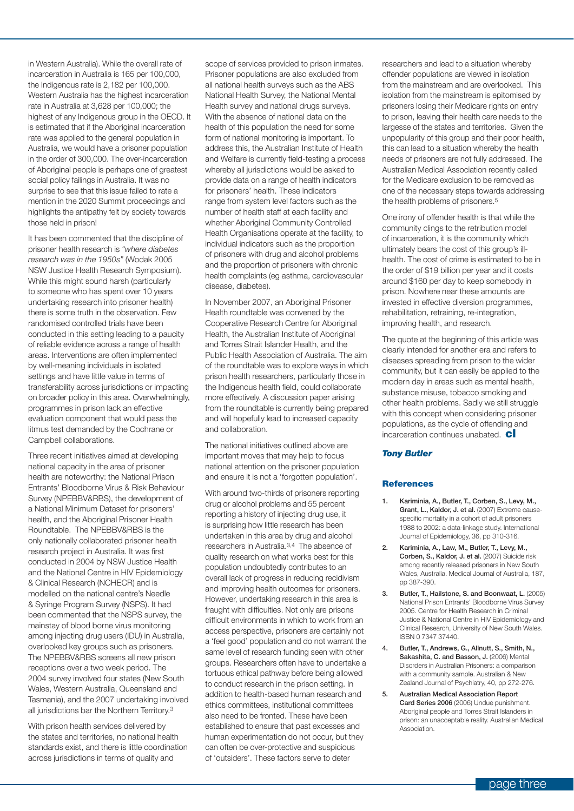in Western Australia). While the overall rate of incarceration in Australia is 165 per 100,000, the Indigenous rate is 2,182 per 100,000. Western Australia has the highest incarceration rate in Australia at 3,628 per 100,000; the highest of any Indigenous group in the OECD. It is estimated that if the Aboriginal incarceration rate was applied to the general population in Australia, we would have a prisoner population in the order of 300,000. The over-incarceration of Aboriginal people is perhaps one of greatest social policy failings in Australia. It was no surprise to see that this issue failed to rate a mention in the 2020 Summit proceedings and highlights the antipathy felt by society towards those held in prison!

It has been commented that the discipline of prisoner health research is *"where diabetes research was in the 1950s"* (Wodak 2005 NSW Justice Health Research Symposium). While this might sound harsh (particularly to someone who has spent over 10 years undertaking research into prisoner health) there is some truth in the observation. Few randomised controlled trials have been conducted in this setting leading to a paucity of reliable evidence across a range of health areas. Interventions are often implemented by well-meaning individuals in isolated settings and have little value in terms of transferability across jurisdictions or impacting on broader policy in this area. Overwhelmingly, programmes in prison lack an effective evaluation component that would pass the litmus test demanded by the Cochrane or Campbell collaborations.

Three recent initiatives aimed at developing national capacity in the area of prisoner health are noteworthy: the National Prison Entrants' Bloodborne Virus & Risk Behaviour Survey (NPEBBV&RBS), the development of a National Minimum Dataset for prisoners' health, and the Aboriginal Prisoner Health Roundtable. The NPEBBV&RBS is the only nationally collaborated prisoner health research project in Australia. It was first conducted in 2004 by NSW Justice Health and the National Centre in HIV Epidemiology & Clinical Research (NCHECR) and is modelled on the national centre's Needle & Syringe Program Survey (NSPS). It had been commented that the NSPS survey, the mainstay of blood borne virus monitoring among injecting drug users (IDU) in Australia, overlooked key groups such as prisoners. The NPEBBV&RBS screens all new prison receptions over a two week period. The 2004 survey involved four states (New South Wales, Western Australia, Queensland and Tasmania), and the 2007 undertaking involved all jurisdictions bar the Northern Territory.3

With prison health services delivered by the states and territories, no national health standards exist, and there is little coordination across jurisdictions in terms of quality and

scope of services provided to prison inmates. Prisoner populations are also excluded from all national health surveys such as the ABS National Health Survey, the National Mental Health survey and national drugs surveys. With the absence of national data on the health of this population the need for some form of national monitoring is important. To address this, the Australian Institute of Health and Welfare is currently field-testing a process whereby all jurisdictions would be asked to provide data on a range of health indicators for prisoners' health. These indicators range from system level factors such as the number of health staff at each facility and whether Aboriginal Community Controlled Health Organisations operate at the facility, to individual indicators such as the proportion of prisoners with drug and alcohol problems and the proportion of prisoners with chronic health complaints (eg asthma, cardiovascular disease, diabetes).

In November 2007, an Aboriginal Prisoner Health roundtable was convened by the Cooperative Research Centre for Aboriginal Health, the Australian Institute of Aboriginal and Torres Strait Islander Health, and the Public Health Association of Australia. The aim of the roundtable was to explore ways in which prison health researchers, particularly those in the Indigenous health field, could collaborate more effectively. A discussion paper arising from the roundtable is currently being prepared and will hopefully lead to increased capacity and collaboration.

The national initiatives outlined above are important moves that may help to focus national attention on the prisoner population and ensure it is not a 'forgotten population'.

With around two-thirds of prisoners reporting drug or alcohol problems and 55 percent reporting a history of injecting drug use, it is surprising how little research has been undertaken in this area by drug and alcohol researchers in Australia.3,4 The absence of quality research on what works best for this population undoubtedly contributes to an overall lack of progress in reducing recidivism and improving health outcomes for prisoners. However, undertaking research in this area is fraught with difficulties. Not only are prisons difficult environments in which to work from an access perspective, prisoners are certainly not a 'feel good' population and do not warrant the same level of research funding seen with other groups. Researchers often have to undertake a tortuous ethical pathway before being allowed to conduct research in the prison setting. In addition to health-based human research and ethics committees, institutional committees also need to be fronted. These have been established to ensure that past excesses and human experimentation do not occur, but they can often be over-protective and suspicious of 'outsiders'. These factors serve to deter

researchers and lead to a situation whereby offender populations are viewed in isolation from the mainstream and are overlooked. This isolation from the mainstream is epitomised by prisoners losing their Medicare rights on entry to prison, leaving their health care needs to the largesse of the states and territories. Given the unpopularity of this group and their poor health, this can lead to a situation whereby the health needs of prisoners are not fully addressed. The Australian Medical Association recently called for the Medicare exclusion to be removed as one of the necessary steps towards addressing the health problems of prisoners.5

One irony of offender health is that while the community clings to the retribution model of incarceration, it is the community which ultimately bears the cost of this group's illhealth. The cost of crime is estimated to be in the order of \$19 billion per year and it costs around \$160 per day to keep somebody in prison. Nowhere near these amounts are invested in effective diversion programmes, rehabilitation, retraining, re-integration, improving health, and research.

The quote at the beginning of this article was clearly intended for another era and refers to diseases spreading from prison to the wider community, but it can easily be applied to the modern day in areas such as mental health, substance misuse, tobacco smoking and other health problems. Sadly we still struggle with this concept when considering prisoner populations, as the cycle of offending and incarceration continues unabated. **cl**

#### *Tony Butler*

#### **References**

- **1. Kariminia, A., Butler, T., Corben, S., Levy, M., Grant, L., Kaldor, J. et al.** (2007) Extreme causespecific mortality in a cohort of adult prisoners 1988 to 2002: a data-linkage study. International Journal of Epidemiology, 36, pp 310-316.
- **2. Kariminia, A., Law, M., Butler, T., Levy, M., Corben, S., Kaldor, J. et al.** (2007) Suicide risk among recently released prisoners in New South Wales, Australia. Medical Journal of Australia, 187, pp 387-390.
- **3. Butler, T., Hailstone, S. and Boonwaat, L.** (2005) National Prison Entrants' Bloodborne Virus Survey 2005. Centre for Health Research in Criminal Justice & National Centre in HIV Epidemiology and Clinical Research, University of New South Wales. ISBN 0 7347 37440.
- **4. Butler, T., Andrews, G., Allnutt, S., Smith, N., Sakashita, C. and Basson, J.** (2006) Mental Disorders in Australian Prisoners: a comparison with a community sample. Australian & New Zealand Journal of Psychiatry, 40, pp 272-276.
- **5. Australian Medical Association Report Card Series 2006** (2006) Undue punishment. Aboriginal people and Torres Strait Islanders in prison: an unacceptable reality. Australian Medical Association.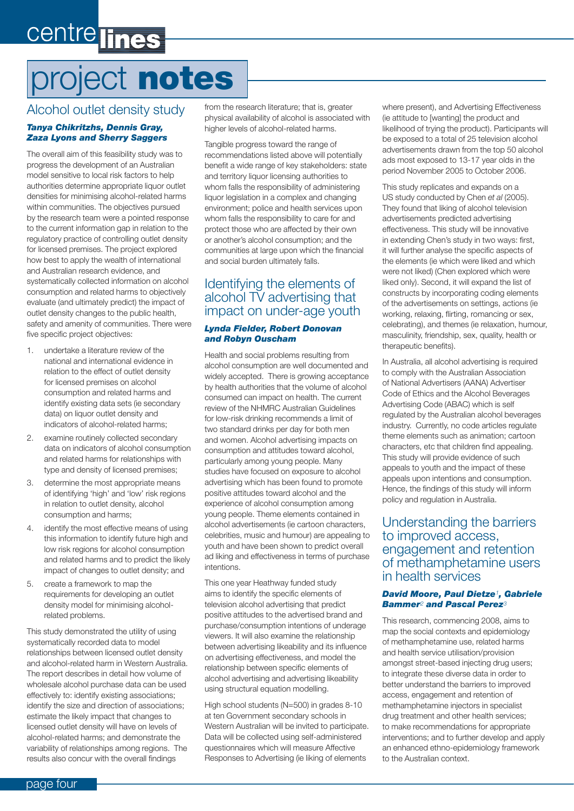# centre lines

# project **notes**

#### Alcohol outlet density study

#### *Tanya Chikritzhs, Dennis Gray, Zaza Lyons and Sherry Saggers*

The overall aim of this feasibility study was to progress the development of an Australian model sensitive to local risk factors to help authorities determine appropriate liquor outlet densities for minimising alcohol-related harms within communities. The objectives pursued by the research team were a pointed response to the current information gap in relation to the regulatory practice of controlling outlet density for licensed premises. The project explored how best to apply the wealth of international and Australian research evidence, and systematically collected information on alcohol consumption and related harms to objectively evaluate (and ultimately predict) the impact of outlet density changes to the public health, safety and amenity of communities. There were five specific project objectives:

- 1. undertake a literature review of the national and international evidence in relation to the effect of outlet density for licensed premises on alcohol consumption and related harms and identify existing data sets (ie secondary data) on liquor outlet density and indicators of alcohol-related harms;
- 2. examine routinely collected secondary data on indicators of alcohol consumption and related harms for relationships with type and density of licensed premises;
- 3. determine the most appropriate means of identifying 'high' and 'low' risk regions in relation to outlet density, alcohol consumption and harms;
- 4. identify the most effective means of using this information to identify future high and low risk regions for alcohol consumption and related harms and to predict the likely impact of changes to outlet density; and
- 5. create a framework to map the requirements for developing an outlet density model for minimising alcoholrelated problems.

This study demonstrated the utility of using systematically recorded data to model relationships between licensed outlet density and alcohol-related harm in Western Australia. The report describes in detail how volume of wholesale alcohol purchase data can be used effectively to: identify existing associations; identify the size and direction of associations; estimate the likely impact that changes to licensed outlet density will have on levels of alcohol-related harms; and demonstrate the variability of relationships among regions. The results also concur with the overall findings

from the research literature; that is, greater physical availability of alcohol is associated with higher levels of alcohol-related harms.

Tangible progress toward the range of recommendations listed above will potentially benefit a wide range of key stakeholders: state and territory liquor licensing authorities to whom falls the responsibility of administering liquor legislation in a complex and changing environment; police and health services upon whom falls the responsibility to care for and protect those who are affected by their own or another's alcohol consumption; and the communities at large upon which the financial and social burden ultimately falls.

#### Identifying the elements of alcohol TV advertising that impact on under-age youth

#### *Lynda Fielder, Robert Donovan and Robyn Ouscham*

Health and social problems resulting from alcohol consumption are well documented and widely accepted. There is growing acceptance by health authorities that the volume of alcohol consumed can impact on health. The current review of the NHMRC Australian Guidelines for low-risk drinking recommends a limit of two standard drinks per day for both men and women. Alcohol advertising impacts on consumption and attitudes toward alcohol, particularly among young people. Many studies have focused on exposure to alcohol advertising which has been found to promote positive attitudes toward alcohol and the experience of alcohol consumption among young people. Theme elements contained in alcohol advertisements (ie cartoon characters, celebrities, music and humour) are appealing to youth and have been shown to predict overall ad liking and effectiveness in terms of purchase intentions.

This one year Heathway funded study aims to identify the specific elements of television alcohol advertising that predict positive attitudes to the advertised brand and purchase/consumption intentions of underage viewers. It will also examine the relationship between advertising likeability and its influence on advertising effectiveness, and model the relationship between specific elements of alcohol advertising and advertising likeability using structural equation modelling.

High school students (N=500) in grades 8-10 at ten Government secondary schools in Western Australian will be invited to participate. Data will be collected using self-administered questionnaires which will measure Affective Responses to Advertising (ie liking of elements

where present), and Advertising Effectiveness (ie attitude to [wanting] the product and likelihood of trying the product). Participants will be exposed to a total of 25 television alcohol advertisements drawn from the top 50 alcohol ads most exposed to 13-17 year olds in the period November 2005 to October 2006.

This study replicates and expands on a US study conducted by Chen *et al* (2005). They found that liking of alcohol television advertisements predicted advertising effectiveness. This study will be innovative in extending Chen's study in two ways: first, it will further analyse the specific aspects of the elements (ie which were liked and which were not liked) (Chen explored which were liked only). Second, it will expand the list of constructs by incorporating coding elements of the advertisements on settings, actions (ie working, relaxing, flirting, romancing or sex, celebrating), and themes (ie relaxation, humour, masculinity, friendship, sex, quality, health or therapeutic benefits).

In Australia, all alcohol advertising is required to comply with the Australian Association of National Advertisers (AANA) Advertiser Code of Ethics and the Alcohol Beverages Advertising Code (ABAC) which is self regulated by the Australian alcohol beverages industry. Currently, no code articles regulate theme elements such as animation; cartoon characters, etc that children find appealing. This study will provide evidence of such appeals to youth and the impact of these appeals upon intentions and consumption. Hence, the findings of this study will inform policy and regulation in Australia.

#### Understanding the barriers to improved access, engagement and retention of methamphetamine users in health services

#### *David Moore, Paul Dietze1, Gabriele Bammer2 and Pascal Perez<sup>3</sup>*

This research, commencing 2008, aims to map the social contexts and epidemiology of methamphetamine use, related harms and health service utilisation/provision amongst street-based injecting drug users; to integrate these diverse data in order to better understand the barriers to improved access, engagement and retention of methamphetamine injectors in specialist drug treatment and other health services; to make recommendations for appropriate interventions; and to further develop and apply an enhanced ethno-epidemiology framework to the Australian context.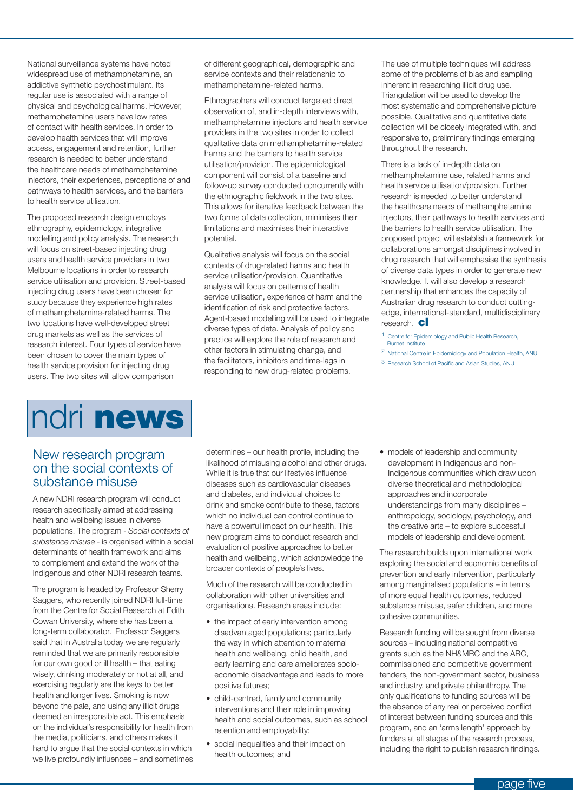National surveillance systems have noted widespread use of methamphetamine, an addictive synthetic psychostimulant. Its regular use is associated with a range of physical and psychological harms. However, methamphetamine users have low rates of contact with health services. In order to develop health services that will improve access, engagement and retention, further research is needed to better understand the healthcare needs of methamphetamine injectors, their experiences, perceptions of and pathways to health services, and the barriers to health service utilisation.

The proposed research design employs ethnography, epidemiology, integrative modelling and policy analysis. The research will focus on street-based injecting drug users and health service providers in two Melbourne locations in order to research service utilisation and provision. Street-based injecting drug users have been chosen for study because they experience high rates of methamphetamine-related harms. The two locations have well-developed street drug markets as well as the services of research interest. Four types of service have been chosen to cover the main types of health service provision for injecting drug users. The two sites will allow comparison

### ndri **news**

#### New research program on the social contexts of substance misuse

A new NDRI research program will conduct research specifically aimed at addressing health and wellbeing issues in diverse populations. The program - *Social contexts of substance misuse -* is organised within a social determinants of health framework and aims to complement and extend the work of the Indigenous and other NDRI research teams.

The program is headed by Professor Sherry Saggers, who recently joined NDRI full-time from the Centre for Social Research at Edith Cowan University, where she has been a long-term collaborator. Professor Saggers said that in Australia today we are regularly reminded that we are primarily responsible for our own good or ill health – that eating wisely, drinking moderately or not at all, and exercising regularly are the keys to better health and longer lives. Smoking is now beyond the pale, and using any illicit drugs deemed an irresponsible act. This emphasis on the individual's responsibility for health from the media, politicians, and others makes it hard to argue that the social contexts in which we live profoundly influences – and sometimes

of different geographical, demographic and service contexts and their relationship to methamphetamine-related harms.

Ethnographers will conduct targeted direct observation of, and in-depth interviews with, methamphetamine injectors and health service providers in the two sites in order to collect qualitative data on methamphetamine-related harms and the barriers to health service utilisation/provision. The epidemiological component will consist of a baseline and follow-up survey conducted concurrently with the ethnographic fieldwork in the two sites. This allows for iterative feedback between the two forms of data collection, minimises their limitations and maximises their interactive potential.

Qualitative analysis will focus on the social contexts of drug-related harms and health service utilisation/provision. Quantitative analysis will focus on patterns of health service utilisation, experience of harm and the identification of risk and protective factors. Agent-based modelling will be used to integrate diverse types of data. Analysis of policy and practice will explore the role of research and other factors in stimulating change, and the facilitators, inhibitors and time-lags in responding to new drug-related problems.

The use of multiple techniques will address some of the problems of bias and sampling inherent in researching illicit drug use. Triangulation will be used to develop the most systematic and comprehensive picture possible. Qualitative and quantitative data collection will be closely integrated with, and responsive to, preliminary findings emerging throughout the research.

There is a lack of in-depth data on methamphetamine use, related harms and health service utilisation/provision. Further research is needed to better understand the healthcare needs of methamphetamine injectors, their pathways to health services and the barriers to health service utilisation. The proposed project will establish a framework for collaborations amongst disciplines involved in drug research that will emphasise the synthesis of diverse data types in order to generate new knowledge. It will also develop a research partnership that enhances the capacity of Australian drug research to conduct cuttingedge, international-standard, multidisciplinary research. **cl**

- 1 Centre for Epidemiology and Public Health Research, Burnet Institute
- 2 National Centre in Epidemiology and Population Health, ANU
- 3 Research School of Pacific and Asian Studies, ANU
- determines our health profile, including the likelihood of misusing alcohol and other drugs. While it is true that our lifestyles influence diseases such as cardiovascular diseases and diabetes, and individual choices to drink and smoke contribute to these, factors which no individual can control continue to have a powerful impact on our health. This new program aims to conduct research and evaluation of positive approaches to better health and wellbeing, which acknowledge the broader contexts of people's lives.

Much of the research will be conducted in collaboration with other universities and organisations. Research areas include:

- the impact of early intervention among disadvantaged populations; particularly the way in which attention to maternal health and wellbeing, child health, and early learning and care ameliorates socioeconomic disadvantage and leads to more positive futures;
- child-centred, family and community interventions and their role in improving health and social outcomes, such as school retention and employability;
- social inequalities and their impact on health outcomes; and

• models of leadership and community development in Indigenous and non-Indigenous communities which draw upon diverse theoretical and methodological approaches and incorporate understandings from many disciplines – anthropology, sociology, psychology, and the creative arts – to explore successful models of leadership and development.

The research builds upon international work exploring the social and economic benefits of prevention and early intervention, particularly among marginalised populations – in terms of more equal health outcomes, reduced substance misuse, safer children, and more cohesive communities.

Research funding will be sought from diverse sources – including national competitive grants such as the NH&MRC and the ARC, commissioned and competitive government tenders, the non-government sector, business and industry, and private philanthropy. The only qualifications to funding sources will be the absence of any real or perceived conflict of interest between funding sources and this program, and an 'arms length' approach by funders at all stages of the research process, including the right to publish research findings.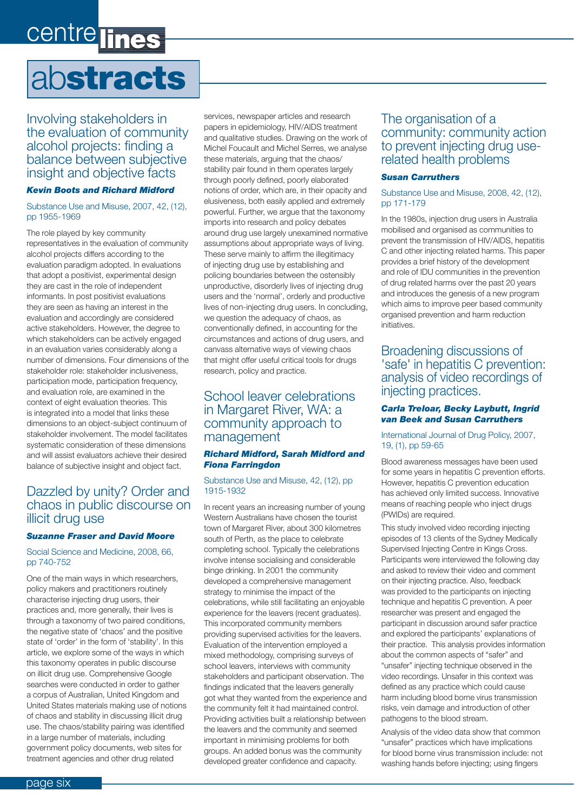# centre lines ab**stracts**

Involving stakeholders in the evaluation of community alcohol projects: finding a balance between subjective insight and objective facts

#### *Kevin Boots and Richard Midford*

#### Substance Use and Misuse, 2007, 42, (12), pp 1955-1969

The role played by key community representatives in the evaluation of community alcohol projects differs according to the evaluation paradigm adopted. In evaluations that adopt a positivist, experimental design they are cast in the role of independent informants. In post positivist evaluations they are seen as having an interest in the evaluation and accordingly are considered active stakeholders. However, the degree to which stakeholders can be actively engaged in an evaluation varies considerably along a number of dimensions. Four dimensions of the stakeholder role: stakeholder inclusiveness, participation mode, participation frequency, and evaluation role, are examined in the context of eight evaluation theories. This is integrated into a model that links these dimensions to an object-subject continuum of stakeholder involvement. The model facilitates systematic consideration of these dimensions and will assist evaluators achieve their desired balance of subjective insight and object fact.

#### Dazzled by unity? Order and chaos in public discourse on illicit drug use

#### *Suzanne Fraser and David Moore*

Social Science and Medicine, 2008, 66, pp 740-752

One of the main ways in which researchers, policy makers and practitioners routinely characterise injecting drug users, their practices and, more generally, their lives is through a taxonomy of two paired conditions, the negative state of 'chaos' and the positive state of 'order' in the form of 'stability'. In this article, we explore some of the ways in which this taxonomy operates in public discourse on illicit drug use. Comprehensive Google searches were conducted in order to gather a corpus of Australian, United Kingdom and United States materials making use of notions of chaos and stability in discussing illicit drug use. The chaos/stability pairing was identified in a large number of materials, including government policy documents, web sites for treatment agencies and other drug related

services, newspaper articles and research papers in epidemiology, HIV/AIDS treatment and qualitative studies. Drawing on the work of Michel Foucault and Michel Serres, we analyse these materials, arguing that the chaos/ stability pair found in them operates largely through poorly defined, poorly elaborated notions of order, which are, in their opacity and elusiveness, both easily applied and extremely powerful. Further, we argue that the taxonomy imports into research and policy debates around drug use largely unexamined normative assumptions about appropriate ways of living. These serve mainly to affirm the illegitimacy of injecting drug use by establishing and policing boundaries between the ostensibly unproductive, disorderly lives of injecting drug users and the 'normal', orderly and productive lives of non-injecting drug users. In concluding, we question the adequacy of chaos, as conventionally defined, in accounting for the circumstances and actions of drug users, and canvass alternative ways of viewing chaos that might offer useful critical tools for drugs research, policy and practice.

#### School leaver celebrations in Margaret River, WA: a community approach to management

#### *Richard Midford, Sarah Midford and Fiona Farringdon*

#### Substance Use and Misuse, 42, (12), pp 1915-1932

In recent years an increasing number of young Western Australians have chosen the tourist town of Margaret River, about 300 kilometres south of Perth, as the place to celebrate completing school. Typically the celebrations involve intense socialising and considerable binge drinking. In 2001 the community developed a comprehensive management strategy to minimise the impact of the celebrations, while still facilitating an enjoyable experience for the leavers (recent graduates). This incorporated community members providing supervised activities for the leavers. Evaluation of the intervention employed a mixed methodology, comprising surveys of school leavers, interviews with community stakeholders and participant observation. The findings indicated that the leavers generally got what they wanted from the experience and the community felt it had maintained control. Providing activities built a relationship between the leavers and the community and seemed important in minimising problems for both groups. An added bonus was the community developed greater confidence and capacity.

#### The organisation of a community: community action to prevent injecting drug userelated health problems

#### *Susan Carruthers*

#### Substance Use and Misuse, 2008, 42, (12), pp 171-179

In the 1980s, injection drug users in Australia mobilised and organised as communities to prevent the transmission of HIV/AIDS, hepatitis C and other injecting related harms. This paper provides a brief history of the development and role of IDU communities in the prevention of drug related harms over the past 20 years and introduces the genesis of a new program which aims to improve peer based community organised prevention and harm reduction initiatives.

#### Broadening discussions of 'safe' in hepatitis C prevention: analysis of video recordings of injecting practices.

#### *Carla Treloar, Becky Laybutt, Ingrid van Beek and Susan Carruthers*

#### International Journal of Drug Policy, 2007, 19, (1), pp 59-65

Blood awareness messages have been used for some years in hepatitis C prevention efforts. However, hepatitis C prevention education has achieved only limited success. Innovative means of reaching people who inject drugs (PWIDs) are required.

This study involved video recording injecting episodes of 13 clients of the Sydney Medically Supervised Injecting Centre in Kings Cross. Participants were interviewed the following day and asked to review their video and comment on their injecting practice. Also, feedback was provided to the participants on injecting technique and hepatitis C prevention. A peer researcher was present and engaged the participant in discussion around safer practice and explored the participants' explanations of their practice. This analysis provides information about the common aspects of "safer" and "unsafer" injecting technique observed in the video recordings. Unsafer in this context was defined as any practice which could cause harm including blood borne virus transmission risks, vein damage and introduction of other pathogens to the blood stream.

Analysis of the video data show that common "unsafer" practices which have implications for blood borne virus transmission include: not washing hands before injecting; using fingers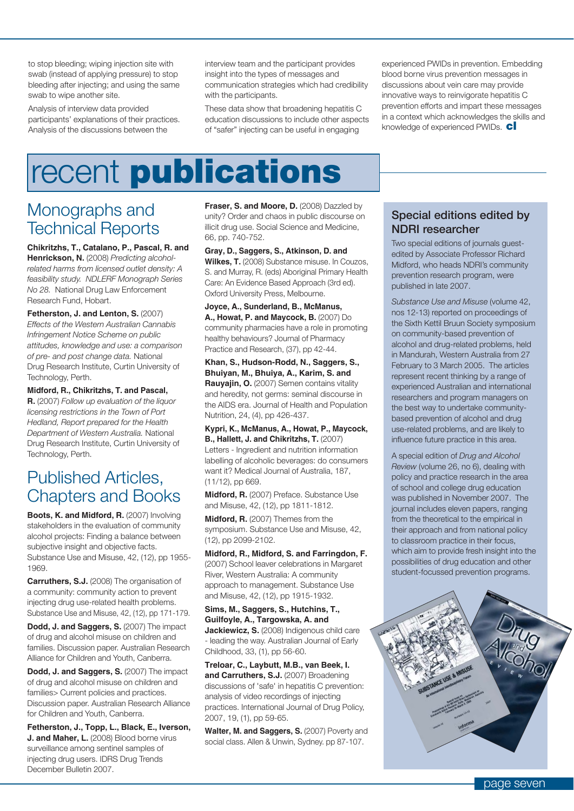to stop bleeding; wiping injection site with swab (instead of applying pressure) to stop bleeding after injecting; and using the same swab to wipe another site.

Analysis of interview data provided participants' explanations of their practices. Analysis of the discussions between the

interview team and the participant provides insight into the types of messages and communication strategies which had credibility with the participants.

These data show that broadening hepatitis C education discussions to include other aspects of "safer" injecting can be useful in engaging

experienced PWIDs in prevention. Embedding blood borne virus prevention messages in discussions about vein care may provide innovative ways to reinvigorate hepatitis C prevention efforts and impart these messages in a context which acknowledges the skills and knowledge of experienced PWIDs. **cl**

# recent **publications**

### Monographs and Technical Reports

**Chikritzhs, T., Catalano, P., Pascal, R. and Henrickson, N.** (2008) *Predicting alcoholrelated harms from licensed outlet density: A feasibility study. NDLERF Monograph Series No 28.* National Drug Law Enforcement Research Fund, Hobart.

**Fetherston, J. and Lenton, S.** (2007) *Effects of the Western Australian Cannabis Infringement Notice Scheme on public attitudes, knowledge and use: a comparison of pre- and post change data.* National Drug Research Institute, Curtin University of Technology, Perth.

**Midford, R., Chikritzhs, T. and Pascal, R.** (2007) *Follow up evaluation of the liquor licensing restrictions in the Town of Port Hedland, Report prepared for the Health Department of Western Australia.* National Drug Research Institute, Curtin University of Technology, Perth.

### Published Articles, Chapters and Books

**Boots, K. and Midford, R.** (2007) Involving stakeholders in the evaluation of community alcohol projects: Finding a balance between subjective insight and objective facts. Substance Use and Misuse, 42, (12), pp 1955- 1969.

**Carruthers, S.J.** (2008) The organisation of a community: community action to prevent injecting drug use-related health problems. Substance Use and Misuse, 42, (12), pp 171-179.

**Dodd, J. and Saggers, S. (2007) The impact** of drug and alcohol misuse on children and families. Discussion paper. Australian Research Alliance for Children and Youth, Canberra.

**Dodd, J. and Saggers, S. (2007) The impact** of drug and alcohol misuse on children and families> Current policies and practices. Discussion paper. Australian Research Alliance for Children and Youth, Canberra.

**Fetherston, J., Topp, L., Black, E., Iverson, J. and Maher, L.** (2008) Blood borne virus surveillance among sentinel samples of injecting drug users. IDRS Drug Trends December Bulletin 2007.

**Fraser, S. and Moore, D.** (2008) Dazzled by unity? Order and chaos in public discourse on illicit drug use. Social Science and Medicine, 66, pp. 740-752.

**Gray, D., Saggers, S., Atkinson, D. and Wilkes, T.** (2008) Substance misuse. In Couzos, S. and Murray, R. (eds) Aboriginal Primary Health Care: An Evidence Based Approach (3rd ed). Oxford University Press, Melbourne.

**Joyce, A., Sunderland, B., McManus, A., Howat, P. and Maycock, B.** (2007) Do community pharmacies have a role in promoting healthy behaviours? Journal of Pharmacy Practice and Research, (37), pp 42-44.

**Khan, S., Hudson-Rodd, N., Saggers, S., Bhuiyan, M., Bhuiya, A., Karim, S. and Rauyajin, O.** (2007) Semen contains vitality and heredity, not germs: seminal discourse in the AIDS era. Journal of Health and Population Nutrition, 24, (4), pp 426-437.

**Kypri, K., McManus, A., Howat, P., Maycock, B., Hallett, J. and Chikritzhs, T.** (2007) Letters - Ingredient and nutrition information labelling of alcoholic beverages: do consumers want it? Medical Journal of Australia, 187, (11/12), pp 669.

**Midford, R.** (2007) Preface. Substance Use and Misuse, 42, (12), pp 1811-1812.

**Midford, R.** (2007) Themes from the symposium. Substance Use and Misuse, 42, (12), pp 2099-2102.

**Midford, R., Midford, S. and Farringdon, F.**  (2007) School leaver celebrations in Margaret River, Western Australia: A community approach to management. Substance Use and Misuse, 42, (12), pp 1915-1932.

**Sims, M., Saggers, S., Hutchins, T., Guilfoyle, A., Targowska, A. and Jackiewicz, S.** (2008) Indigenous child care - leading the way. Australian Journal of Early Childhood, 33, (1), pp 56-60.

**Treloar, C., Laybutt, M.B., van Beek, I. and Carruthers, S.J.** (2007) Broadening discussions of 'safe' in hepatitis C prevention: analysis of video recordings of injecting practices. International Journal of Drug Policy, 2007, 19, (1), pp 59-65.

Walter, M. and Saggers, S. (2007) Poverty and social class. Allen & Unwin, Sydney. pp 87-107.

#### **Special editions edited by NDRI researcher**

Two special editions of journals guestedited by Associate Professor Richard Midford, who heads NDRI's community prevention research program, were published in late 2007.

*Substance Use and Misuse* (volume 42, nos 12-13) reported on proceedings of the Sixth Kettil Bruun Society symposium on community-based prevention of alcohol and drug-related problems, held in Mandurah, Western Australia from 27 February to 3 March 2005. The articles represent recent thinking by a range of experienced Australian and international researchers and program managers on the best way to undertake communitybased prevention of alcohol and drug use-related problems, and are likely to influence future practice in this area.

A special edition of *Drug and Alcohol Review* (volume 26, no 6), dealing with policy and practice research in the area of school and college drug education was published in November 2007. The journal includes eleven papers, ranging from the theoretical to the empirical in their approach and from national policy to classroom practice in their focus, which aim to provide fresh insight into the possibilities of drug education and other student-focussed prevention programs.